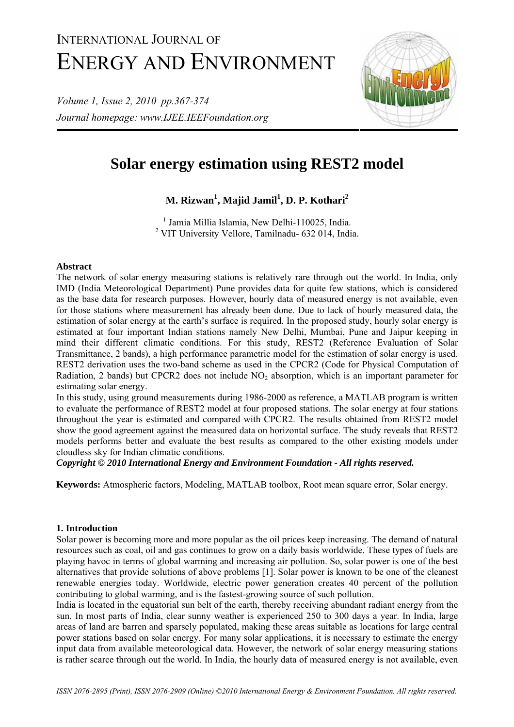# INTERNATIONAL JOURNAL OF ENERGY AND ENVIRONMENT

*Volume 1, Issue 2, 2010 pp.367-374 Journal homepage: www.IJEE.IEEFoundation.org* 



# **Solar energy estimation using REST2 model**

# M. Rizwan<sup>1</sup>, Majid Jamil<sup>1</sup>, D. P. Kothari<sup>2</sup>

<sup>1</sup> Jamia Millia Islamia, New Delhi-110025, India. <sup>2</sup> VIT University Vellore, Tamilnadu- 632 014, India.

# **Abstract**

The network of solar energy measuring stations is relatively rare through out the world. In India, only IMD (India Meteorological Department) Pune provides data for quite few stations, which is considered as the base data for research purposes. However, hourly data of measured energy is not available, even for those stations where measurement has already been done. Due to lack of hourly measured data, the estimation of solar energy at the earth's surface is required. In the proposed study, hourly solar energy is estimated at four important Indian stations namely New Delhi, Mumbai, Pune and Jaipur keeping in mind their different climatic conditions. For this study, REST2 (Reference Evaluation of Solar Transmittance, 2 bands), a high performance parametric model for the estimation of solar energy is used. REST2 derivation uses the two-band scheme as used in the CPCR2 (Code for Physical Computation of Radiation, 2 bands) but CPCR2 does not include  $NO<sub>2</sub>$  absorption, which is an important parameter for estimating solar energy.

In this study, using ground measurements during 1986-2000 as reference, a MATLAB program is written to evaluate the performance of REST2 model at four proposed stations. The solar energy at four stations throughout the year is estimated and compared with CPCR2. The results obtained from REST2 model show the good agreement against the measured data on horizontal surface. The study reveals that REST2 models performs better and evaluate the best results as compared to the other existing models under cloudless sky for Indian climatic conditions.

*Copyright © 2010 International Energy and Environment Foundation - All rights reserved.*

**Keywords:** Atmospheric factors, Modeling, MATLAB toolbox, Root mean square error, Solar energy.

# **1. Introduction**

Solar power is becoming more and more popular as the oil prices keep increasing. The demand of natural resources such as coal, oil and gas continues to grow on a daily basis worldwide. These types of fuels are playing havoc in terms of global warming and increasing air pollution. So, solar power is one of the best alternatives that provide solutions of above problems [1]. Solar power is known to be one of the cleanest renewable energies today. Worldwide, electric power generation creates 40 percent of the pollution contributing to global warming, and is the fastest-growing source of such pollution.

India is located in the equatorial sun belt of the earth, thereby receiving abundant radiant energy from the sun. In most parts of India, clear sunny weather is experienced 250 to 300 days a year. In India, large areas of land are barren and sparsely populated, making these areas suitable as locations for large central power stations based on solar energy. For many solar applications, it is necessary to estimate the energy input data from available meteorological data. However, the network of solar energy measuring stations is rather scarce through out the world. In India, the hourly data of measured energy is not available, even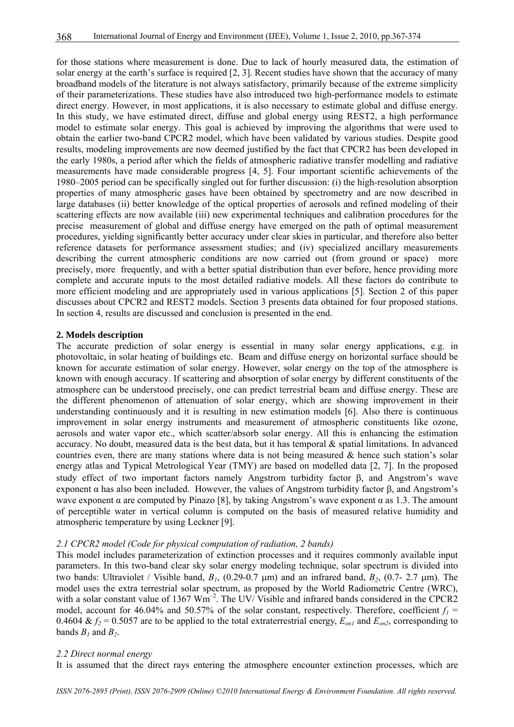for those stations where measurement is done. Due to lack of hourly measured data, the estimation of solar energy at the earth's surface is required [2, 3]. Recent studies have shown that the accuracy of many broadband models of the literature is not always satisfactory, primarily because of the extreme simplicity of their parameterizations. These studies have also introduced two high-performance models to estimate direct energy. However, in most applications, it is also necessary to estimate global and diffuse energy. In this study, we have estimated direct, diffuse and global energy using REST2, a high performance model to estimate solar energy. This goal is achieved by improving the algorithms that were used to obtain the earlier two-band CPCR2 model, which have been validated by various studies. Despite good results, modeling improvements are now deemed justified by the fact that CPCR2 has been developed in the early 1980s, a period after which the fields of atmospheric radiative transfer modelling and radiative measurements have made considerable progress [4, 5]. Four important scientific achievements of the 1980–2005 period can be specifically singled out for further discussion: (i) the high-resolution absorption properties of many atmospheric gases have been obtained by spectrometry and are now described in large databases (ii) better knowledge of the optical properties of aerosols and refined modeling of their scattering effects are now available (iii) new experimental techniques and calibration procedures for the precise measurement of global and diffuse energy have emerged on the path of optimal measurement procedures, yielding significantly better accuracy under clear skies in particular, and therefore also better reference datasets for performance assessment studies; and (iv) specialized ancillary measurements describing the current atmospheric conditions are now carried out (from ground or space) more precisely, more frequently, and with a better spatial distribution than ever before, hence providing more complete and accurate inputs to the most detailed radiative models. All these factors do contribute to more efficient modeling and are appropriately used in various applications [5]. Section 2 of this paper discusses about CPCR2 and REST2 models. Section 3 presents data obtained for four proposed stations. In section 4, results are discussed and conclusion is presented in the end.

#### **2. Models description**

The accurate prediction of solar energy is essential in many solar energy applications, e.g. in photovoltaic, in solar heating of buildings etc. Beam and diffuse energy on horizontal surface should be known for accurate estimation of solar energy. However, solar energy on the top of the atmosphere is known with enough accuracy. If scattering and absorption of solar energy by different constituents of the atmosphere can be understood precisely, one can predict terrestrial beam and diffuse energy. These are the different phenomenon of attenuation of solar energy, which are showing improvement in their understanding continuously and it is resulting in new estimation models [6]. Also there is continuous improvement in solar energy instruments and measurement of atmospheric constituents like ozone, aerosols and water vapor etc., which scatter/absorb solar energy. All this is enhancing the estimation accuracy. No doubt, measured data is the best data, but it has temporal  $\&$  spatial limitations. In advanced countries even, there are many stations where data is not being measured  $\&$  hence such station's solar energy atlas and Typical Metrological Year (TMY) are based on modelled data [2, 7]. In the proposed study effect of two important factors namely Angstrom turbidity factor β, and Angstrom's wave exponent  $\alpha$  has also been included. However, the values of Angstrom turbidity factor  $\beta$ , and Angstrom's wave exponent  $\alpha$  are computed by Pinazo [8], by taking Angstrom's wave exponent  $\alpha$  as 1.3. The amount of perceptible water in vertical column is computed on the basis of measured relative humidity and atmospheric temperature by using Leckner [9].

#### *2.1 CPCR2 model (Code for physical computation of radiation, 2 bands)*

This model includes parameterization of extinction processes and it requires commonly available input parameters. In this two-band clear sky solar energy modeling technique, solar spectrum is divided into two bands: Ultraviolet / Visible band,  $B_1$ , (0.29-0.7  $\mu$ m) and an infrared band,  $B_2$ , (0.7- 2.7  $\mu$ m). The model uses the extra terrestrial solar spectrum, as proposed by the World Radiometric Centre (WRC), with a solar constant value of 1367 Wm<sup>-2</sup>. The UV/ Visible and infrared bands considered in the CPCR2 model, account for 46.04% and 50.57% of the solar constant, respectively. Therefore, coefficient  $f_1 =$ 0.4604  $\&$   $f_2$  = 0.5057 are to be applied to the total extraterrestrial energy,  $E_{onl}$  and  $E_{on2}$ , corresponding to bands  $B_1$  and  $B_2$ .

#### *2.2 Direct normal energy*

It is assumed that the direct rays entering the atmosphere encounter extinction processes, which are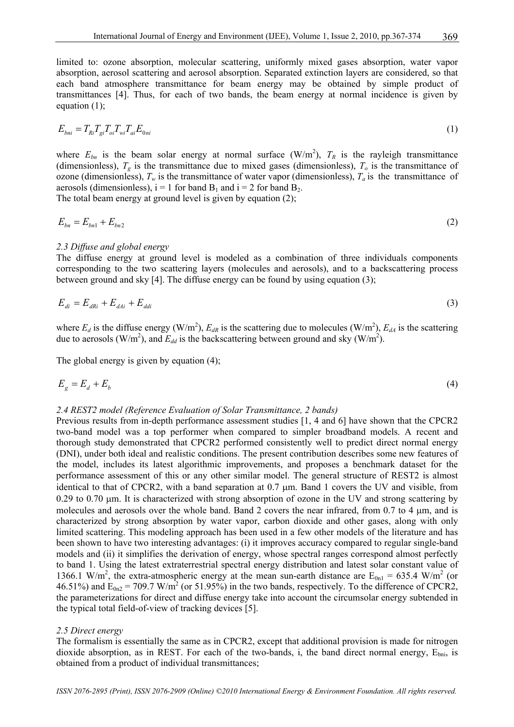limited to: ozone absorption, molecular scattering, uniformly mixed gases absorption, water vapor absorption, aerosol scattering and aerosol absorption. Separated extinction layers are considered, so that each band atmosphere transmittance for beam energy may be obtained by simple product of transmittances [4]. Thus, for each of two bands, the beam energy at normal incidence is given by equation (1);

$$
E_{\text{bni}} = T_{\text{R}i} T_{\text{g}i} T_{\text{oi}} T_{\text{wi}} T_{\text{ai}} E_{\text{0ni}} \tag{1}
$$

where  $E_{bn}$  is the beam solar energy at normal surface (W/m<sup>2</sup>),  $T_R$  is the rayleigh transmittance (dimensionless),  $T_g$  is the transmittance due to mixed gases (dimensionless),  $T_o$  is the transmittance of ozone (dimensionless),  $T_w$  is the transmittance of water vapor (dimensionless),  $T_a$  is the transmittance of aerosols (dimensionless),  $i = 1$  for band  $B_1$  and  $i = 2$  for band  $B_2$ .

The total beam energy at ground level is given by equation (2);

$$
E_{bn} = E_{bn1} + E_{bn2} \tag{2}
$$

#### *2.3 Diffuse and global energy*

The diffuse energy at ground level is modeled as a combination of three individuals components corresponding to the two scattering layers (molecules and aerosols), and to a backscattering process between ground and sky [4]. The diffuse energy can be found by using equation (3);

$$
E_{di} = E_{dRi} + E_{dAi} + E_{ddi}
$$
\n(3)

where  $E_d$  is the diffuse energy (W/m<sup>2</sup>),  $E_{dR}$  is the scattering due to molecules (W/m<sup>2</sup>),  $E_{dA}$  is the scattering due to aerosols (W/m<sup>2</sup>), and  $E_{dd}$  is the backscattering between ground and sky (W/m<sup>2</sup>).

The global energy is given by equation (4);

$$
E_g = E_d + E_b \tag{4}
$$

#### *2.4 REST2 model (Reference Evaluation of Solar Transmittance, 2 bands)*

Previous results from in-depth performance assessment studies [1, 4 and 6] have shown that the CPCR2 two-band model was a top performer when compared to simpler broadband models. A recent and thorough study demonstrated that CPCR2 performed consistently well to predict direct normal energy (DNI), under both ideal and realistic conditions. The present contribution describes some new features of the model, includes its latest algorithmic improvements, and proposes a benchmark dataset for the performance assessment of this or any other similar model. The general structure of REST2 is almost identical to that of CPCR2, with a band separation at 0.7 µm. Band 1 covers the UV and visible, from 0.29 to 0.70 µm. It is characterized with strong absorption of ozone in the UV and strong scattering by molecules and aerosols over the whole band. Band 2 covers the near infrared, from 0.7 to 4  $\mu$ m, and is characterized by strong absorption by water vapor, carbon dioxide and other gases, along with only limited scattering. This modeling approach has been used in a few other models of the literature and has been shown to have two interesting advantages: (i) it improves accuracy compared to regular single-band models and (ii) it simplifies the derivation of energy, whose spectral ranges correspond almost perfectly to band 1. Using the latest extraterrestrial spectral energy distribution and latest solar constant value of 1366.1 W/m<sup>2</sup>, the extra-atmospheric energy at the mean sun-earth distance are  $E_{0n1} = 635.4$  W/m<sup>2</sup> (or 46.51%) and  $E_{0n2} = 709.7 \text{ W/m}^2$  (or 51.95%) in the two bands, respectively. To the difference of CPCR2, the parameterizations for direct and diffuse energy take into account the circumsolar energy subtended in the typical total field-of-view of tracking devices [5].

#### *2.5 Direct energy*

The formalism is essentially the same as in CPCR2, except that additional provision is made for nitrogen dioxide absorption, as in REST. For each of the two-bands, i, the band direct normal energy,  $E_{\text{bni}}$ , is obtained from a product of individual transmittances;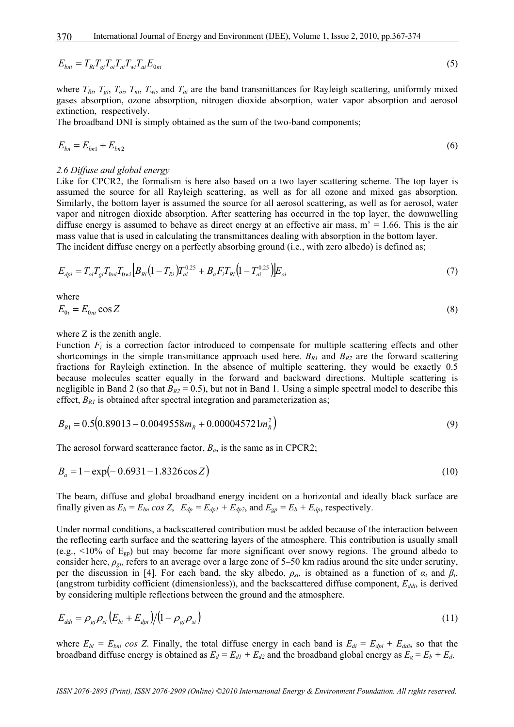$$
E_{bni} = T_{Ri} T_{gi} T_{oi} T_{ni} T_{wi} T_{di} E_{0ni}
$$
\n(5)

where  $T_{Ri}$ ,  $T_{gi}$ ,  $T_{oi}$ ,  $T_{ni}$ ,  $T_{wi}$ , and  $T_{ai}$  are the band transmittances for Rayleigh scattering, uniformly mixed gases absorption, ozone absorption, nitrogen dioxide absorption, water vapor absorption and aerosol extinction, respectively.

The broadband DNI is simply obtained as the sum of the two-band components;

$$
E_{bn} = E_{bn1} + E_{bn2} \tag{6}
$$

#### *2.6 Diffuse and global energy*

Like for CPCR2, the formalism is here also based on a two layer scattering scheme. The top layer is assumed the source for all Rayleigh scattering, as well as for all ozone and mixed gas absorption. Similarly, the bottom layer is assumed the source for all aerosol scattering, as well as for aerosol, water vapor and nitrogen dioxide absorption. After scattering has occurred in the top layer, the downwelling diffuse energy is assumed to behave as direct energy at an effective air mass,  $m' = 1.66$ . This is the air mass value that is used in calculating the transmittances dealing with absorption in the bottom layer. The incident diffuse energy on a perfectly absorbing ground (i.e., with zero albedo) is defined as;

$$
E_{\text{dpi}} = T_{\text{o}i} T_{\text{g}i} T_{\text{0ni}} T_{\text{0wi}} \Big[ B_{\text{R}i} \big( 1 - T_{\text{R}i} \big) T_{\text{ai}}^{0.25} + B_a F_i T_{\text{R}i} \big( 1 - T_{\text{ai}}^{0.25} \big) \Big] E_{\text{o}i} \tag{7}
$$

where

$$
E_{0i} = E_{0ni} \cos Z \tag{8}
$$

where Z is the zenith angle.

Function *Fi* is a correction factor introduced to compensate for multiple scattering effects and other shortcomings in the simple transmittance approach used here.  $B_{RI}$  and  $B_{R2}$  are the forward scattering fractions for Rayleigh extinction. In the absence of multiple scattering, they would be exactly 0.5 because molecules scatter equally in the forward and backward directions. Multiple scattering is negligible in Band 2 (so that  $B_{R2} = 0.5$ ), but not in Band 1. Using a simple spectral model to describe this effect,  $B_{RI}$  is obtained after spectral integration and parameterization as;

$$
B_{R1} = 0.5(0.89013 - 0.0049558m_R + 0.000045721m_R^2)
$$
\n(9)

The aerosol forward scatterance factor,  $B_a$ , is the same as in CPCR2;

$$
B_a = 1 - \exp(-0.6931 - 1.8326 \cos Z)
$$
\n(10)

The beam, diffuse and global broadband energy incident on a horizontal and ideally black surface are finally given as  $E_b = E_{bn} \cos Z$ ,  $E_{dp} = E_{dpl} + E_{dp2}$ , and  $E_{gp} = E_b + E_{dp}$ , respectively.

Under normal conditions, a backscattered contribution must be added because of the interaction between the reflecting earth surface and the scattering layers of the atmosphere. This contribution is usually small (e.g.,  $<10\%$  of  $E_{gp}$ ) but may become far more significant over snowy regions. The ground albedo to consider here,  $\rho_{gi}$ , refers to an average over a large zone of 5–50 km radius around the site under scrutiny, per the discussion in [4]. For each band, the sky albedo,  $\rho_{si}$  is obtained as a function of  $\alpha_i$  and  $\beta_i$ , (angstrom turbidity cofficient (dimensionless)), and the backscattered diffuse component, *Eddi*, is derived by considering multiple reflections between the ground and the atmosphere.

$$
E_{ddi} = \rho_{gi}\rho_{si}\left(E_{bi} + E_{dpi}\right) / \left(1 - \rho_{gi}\rho_{si}\right) \tag{11}
$$

where  $E_{bi} = E_{bni} \cos Z$ . Finally, the total diffuse energy in each band is  $E_{di} = E_{dpi} + E_{ddi}$ , so that the broadband diffuse energy is obtained as  $E_d = E_{d1} + E_{d2}$  and the broadband global energy as  $E_g = E_b + E_d$ .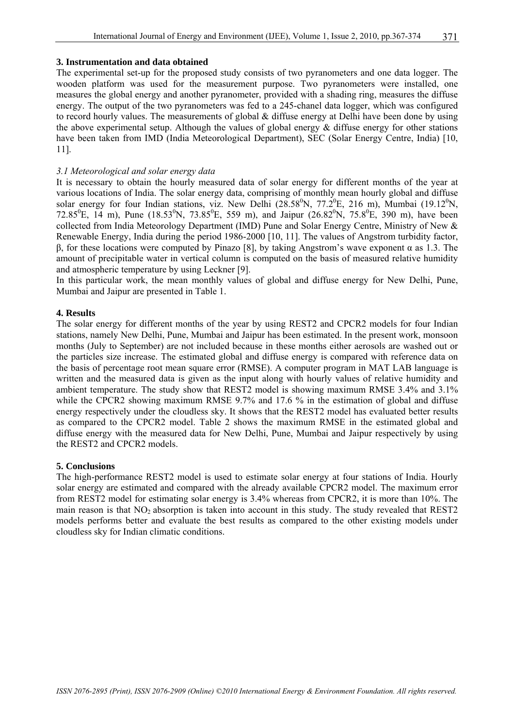## **3. Instrumentation and data obtained**

The experimental set-up for the proposed study consists of two pyranometers and one data logger. The wooden platform was used for the measurement purpose. Two pyranometers were installed, one measures the global energy and another pyranometer, provided with a shading ring, measures the diffuse energy. The output of the two pyranometers was fed to a 245-chanel data logger, which was configured to record hourly values. The measurements of global  $\&$  diffuse energy at Delhi have been done by using the above experimental setup. Although the values of global energy & diffuse energy for other stations have been taken from IMD (India Meteorological Department), SEC (Solar Energy Centre, India) [10, 11].

# *3.1 Meteorological and solar energy data*

It is necessary to obtain the hourly measured data of solar energy for different months of the year at various locations of India. The solar energy data, comprising of monthly mean hourly global and diffuse solar energy for four Indian stations, viz. New Delhi  $(28.58^{\circ}N, 77.2^{\circ}E, 216 m)$ , Mumbai  $(19.12^{\circ}N,$ 72.85<sup>0</sup>E, 14 m), Pune (18.53<sup>0</sup>N, 73.85<sup>0</sup>E, 559 m), and Jaipur (26.82<sup>0</sup>N, 75.8<sup>0</sup>E, 390 m), have been collected from India Meteorology Department (IMD) Pune and Solar Energy Centre, Ministry of New & Renewable Energy, India during the period 1986-2000 [10, 11]. The values of Angstrom turbidity factor, β, for these locations were computed by Pinazo [8], by taking Angstrom's wave exponent α as 1.3. The amount of precipitable water in vertical column is computed on the basis of measured relative humidity and atmospheric temperature by using Leckner [9].

In this particular work, the mean monthly values of global and diffuse energy for New Delhi, Pune, Mumbai and Jaipur are presented in Table 1.

# **4. Results**

The solar energy for different months of the year by using REST2 and CPCR2 models for four Indian stations, namely New Delhi, Pune, Mumbai and Jaipur has been estimated. In the present work, monsoon months (July to September) are not included because in these months either aerosols are washed out or the particles size increase. The estimated global and diffuse energy is compared with reference data on the basis of percentage root mean square error (RMSE). A computer program in MAT LAB language is written and the measured data is given as the input along with hourly values of relative humidity and ambient temperature. The study show that REST2 model is showing maximum RMSE 3.4% and 3.1% while the CPCR2 showing maximum RMSE 9.7% and 17.6 % in the estimation of global and diffuse energy respectively under the cloudless sky. It shows that the REST2 model has evaluated better results as compared to the CPCR2 model. Table 2 shows the maximum RMSE in the estimated global and diffuse energy with the measured data for New Delhi, Pune, Mumbai and Jaipur respectively by using the REST2 and CPCR2 models.

### **5. Conclusions**

The high-performance REST2 model is used to estimate solar energy at four stations of India. Hourly solar energy are estimated and compared with the already available CPCR2 model. The maximum error from REST2 model for estimating solar energy is 3.4% whereas from CPCR2, it is more than 10%. The main reason is that  $NO<sub>2</sub>$  absorption is taken into account in this study. The study revealed that REST2 models performs better and evaluate the best results as compared to the other existing models under cloudless sky for Indian climatic conditions.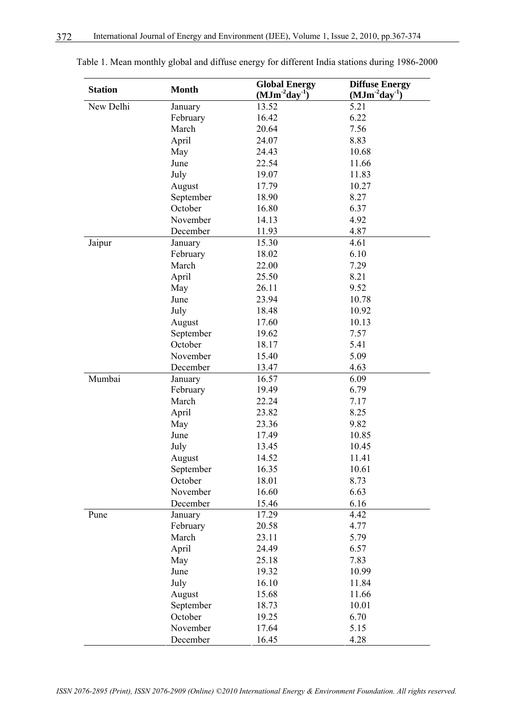| <b>Station</b> | <b>Month</b> | <b>Global Energy</b><br>$(MJm^2day^1)$ | <b>Diffuse Energy</b><br>$(MJm^2day^1)$ |  |
|----------------|--------------|----------------------------------------|-----------------------------------------|--|
| New Delhi      | January      | 13.52                                  | 5.21                                    |  |
|                | February     | 16.42                                  | 6.22                                    |  |
|                | March        | 20.64                                  | 7.56                                    |  |
|                | April        | 24.07                                  | 8.83                                    |  |
|                | May          | 24.43                                  | 10.68                                   |  |
|                | June         | 22.54                                  | 11.66                                   |  |
|                | July         | 19.07                                  | 11.83                                   |  |
|                | August       | 17.79                                  | 10.27                                   |  |
|                | September    | 18.90                                  | 8.27                                    |  |
|                | October      | 16.80                                  | 6.37                                    |  |
|                | November     | 14.13                                  | 4.92                                    |  |
|                | December     | 11.93                                  | 4.87                                    |  |
| Jaipur         | January      | 15.30                                  | 4.61                                    |  |
|                | February     | 18.02                                  | 6.10                                    |  |
|                | March        | 22.00                                  | 7.29                                    |  |
|                | April        | 25.50                                  | 8.21                                    |  |
|                | May          | 26.11                                  | 9.52                                    |  |
|                | June         | 23.94                                  | 10.78                                   |  |
|                | July         | 18.48                                  |                                         |  |
|                |              |                                        | 10.92                                   |  |
|                | August       | 17.60                                  | 10.13                                   |  |
|                | September    | 19.62                                  | 7.57                                    |  |
|                | October      | 18.17                                  | 5.41                                    |  |
|                | November     | 15.40                                  | 5.09                                    |  |
|                | December     | 13.47                                  | 4.63                                    |  |
| Mumbai         | January      | 16.57                                  | 6.09                                    |  |
|                | February     | 19.49                                  | 6.79                                    |  |
|                | March        | 22.24                                  | 7.17                                    |  |
|                | April        | 23.82                                  | 8.25                                    |  |
|                | May          | 23.36                                  | 9.82                                    |  |
|                | June         | 17.49                                  | 10.85                                   |  |
|                | July         | 13.45                                  | 10.45                                   |  |
|                | August       | 14.52                                  | 11.41                                   |  |
|                | September    | 16.35                                  | 10.61                                   |  |
|                | October      | 18.01                                  | 8.73                                    |  |
|                | November     | 16.60                                  | 6.63                                    |  |
|                | December     | 15.46                                  | 6.16                                    |  |
| Pune           | January      | 17.29                                  | 4.42                                    |  |
|                | February     | 20.58                                  | 4.77                                    |  |
|                | March        | 23.11                                  | 5.79                                    |  |
|                | April        | 24.49                                  | 6.57                                    |  |
|                | May          | 25.18                                  | 7.83                                    |  |
|                | June         | 19.32                                  | 10.99                                   |  |
|                | July         | 16.10                                  | 11.84                                   |  |
|                | August       | 15.68                                  | 11.66                                   |  |
|                | September    | 18.73                                  | 10.01                                   |  |
|                | October      | 19.25                                  | 6.70                                    |  |
|                | November     | 17.64                                  | 5.15                                    |  |
|                | December     | 16.45                                  | 4.28                                    |  |

Table 1. Mean monthly global and diffuse energy for different India stations during 1986-2000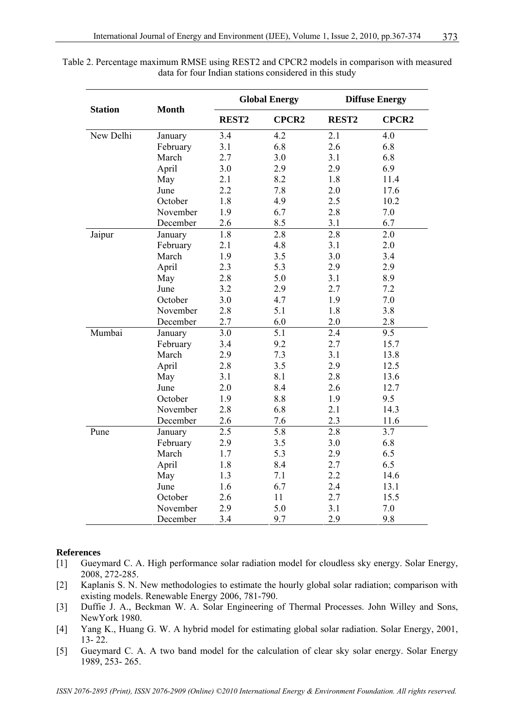| Table 2. Percentage maximum RMSE using REST2 and CPCR2 models in comparison with measured |  |
|-------------------------------------------------------------------------------------------|--|
| data for four Indian stations considered in this study                                    |  |

| <b>Station</b> | <b>Month</b> | <b>Global Energy</b> |                  |              | <b>Diffuse Energy</b> |  |
|----------------|--------------|----------------------|------------------|--------------|-----------------------|--|
|                |              | <b>REST2</b>         | <b>CPCR2</b>     | <b>REST2</b> | <b>CPCR2</b>          |  |
| New Delhi      | January      | 3.4                  | 4.2              | 2.1          | 4.0                   |  |
|                | February     | 3.1                  | 6.8              | 2.6          | 6.8                   |  |
|                | March        | 2.7                  | 3.0              | 3.1          | 6.8                   |  |
|                | April        | 3.0                  | 2.9              | 2.9          | 6.9                   |  |
|                | May          | 2.1                  | 8.2              | 1.8          | 11.4                  |  |
|                | June         | 2.2                  | 7.8              | 2.0          | 17.6                  |  |
|                | October      | 1.8                  | 4.9              | 2.5          | 10.2                  |  |
|                | November     | 1.9                  | 6.7              | 2.8          | 7.0                   |  |
|                | December     | 2.6                  | 8.5              | 3.1          | 6.7                   |  |
| Jaipur         | January      | 1.8                  | 2.8              | 2.8          | 2.0                   |  |
|                | February     | 2.1                  | 4.8              | 3.1          | 2.0                   |  |
|                | March        | 1.9                  | 3.5              | 3.0          | 3.4                   |  |
|                | April        | 2.3                  | 5.3              | 2.9          | 2.9                   |  |
|                | May          | 2.8                  | 5.0              | 3.1          | 8.9                   |  |
|                | June         | 3.2                  | 2.9              | 2.7          | 7.2                   |  |
|                | October      | 3.0                  | 4.7              | 1.9          | 7.0                   |  |
|                | November     | 2.8                  | 5.1              | 1.8          | 3.8                   |  |
|                | December     | 2.7                  | 6.0              | 2.0          | 2.8                   |  |
| Mumbai         | January      | 3.0                  | 5.1              | 2.4          | 9.5                   |  |
|                | February     | 3.4                  | 9.2              | 2.7          | 15.7                  |  |
|                | March        | 2.9                  | 7.3              | 3.1          | 13.8                  |  |
|                | April        | 2.8                  | 3.5              | 2.9          | 12.5                  |  |
|                | May          | 3.1                  | 8.1              | 2.8          | 13.6                  |  |
|                | June         | 2.0                  | 8.4              | 2.6          | 12.7                  |  |
|                | October      | 1.9                  | 8.8              | 1.9          | 9.5                   |  |
|                | November     | 2.8                  | 6.8              | 2.1          | 14.3                  |  |
|                | December     | 2.6                  | 7.6              | 2.3          | 11.6                  |  |
| Pune           | January      | 2.5                  | $\overline{5.8}$ | 2.8          | 3.7                   |  |
|                | February     | 2.9                  | 3.5              | 3.0          | 6.8                   |  |
|                | March        | 1.7                  | 5.3              | 2.9          | 6.5                   |  |
|                | April        | 1.8                  | 8.4              | 2.7          | 6.5                   |  |
|                | May          | 1.3                  | 7.1              | 2.2          | 14.6                  |  |
|                | June         | 1.6                  | 6.7              | 2.4          | 13.1                  |  |
|                | October      | 2.6                  | 11               | 2.7          | 15.5                  |  |
|                | November     | 2.9                  | 5.0              | 3.1          | 7.0                   |  |
|                | December     | 3.4                  | 9.7              | 2.9          | 9.8                   |  |

#### **References**

- [1] Gueymard C. A. High performance solar radiation model for cloudless sky energy. Solar Energy, 2008, 272-285.
- [2] Kaplanis S. N. New methodologies to estimate the hourly global solar radiation; comparison with existing models. Renewable Energy 2006, 781-790.
- [3] Duffie J. A., Beckman W. A. Solar Engineering of Thermal Processes. John Willey and Sons, NewYork 1980.
- [4] Yang K., Huang G. W. A hybrid model for estimating global solar radiation. Solar Energy, 2001, 13- 22.
- [5] Gueymard C. A. A two band model for the calculation of clear sky solar energy. Solar Energy 1989, 253- 265.